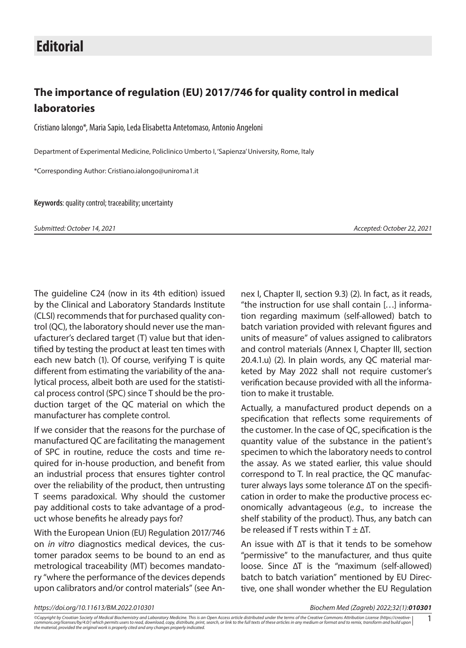## **The importance of regulation (EU) 2017/746 for quality control in medical laboratories**

Cristiano Ialongo\*, Maria Sapio, Leda Elisabetta Antetomaso, Antonio Angeloni

Department of Experimental Medicine, Policlinico Umberto I, 'Sapienza' University, Rome, Italy

\*Corresponding Author: [Cristiano.ialongo@uniroma1.it](mailto:Cristiano.ialongo@uniroma1.it)

**Keywords**: quality control; traceability; uncertainty

*Submitted: October 14, 2021 Accepted: October 22, 2021*

The guideline C24 (now in its 4th edition) issued by the Clinical and Laboratory Standards Institute (CLSI) recommends that for purchased quality control (QC), the laboratory should never use the manufacturer's declared target (T) value but that identified by testing the product at least ten times with each new batch (1). Of course, verifying T is quite different from estimating the variability of the analytical process, albeit both are used for the statistical process control (SPC) since T should be the production target of the QC material on which the manufacturer has complete control.

If we consider that the reasons for the purchase of manufactured QC are facilitating the management of SPC in routine, reduce the costs and time required for in-house production, and benefit from an industrial process that ensures tighter control over the reliability of the product, then untrusting T seems paradoxical. Why should the customer pay additional costs to take advantage of a product whose benefits he already pays for?

With the European Union (EU) Regulation 2017/746 on *in vitro* diagnostics medical devices, the customer paradox seems to be bound to an end as metrological traceability (MT) becomes mandatory "where the performance of the devices depends upon calibrators and/or control materials" (see Annex I, Chapter II, section 9.3) (2). In fact, as it reads, "the instruction for use shall contain […] information regarding maximum (self-allowed) batch to batch variation provided with relevant figures and units of measure" of values assigned to calibrators and control materials (Annex I, Chapter III, section 20.4.1.u) (2). In plain words, any QC material marketed by May 2022 shall not require customer's verification because provided with all the information to make it trustable.

Actually, a manufactured product depends on a specification that reflects some requirements of the customer. In the case of QC, specification is the quantity value of the substance in the patient's specimen to which the laboratory needs to control the assay. As we stated earlier, this value should correspond to T. In real practice, the QC manufacturer always lays some tolerance ∆T on the specification in order to make the productive process economically advantageous (*e.g.,* to increase the shelf stability of the product). Thus, any batch can be released if T rests within  $T + \Delta T$ .

An issue with ∆T is that it tends to be somehow "permissive" to the manufacturer, and thus quite loose. Since ∆T is the "maximum (self-allowed) batch to batch variation" mentioned by EU Directive, one shall wonder whether the EU Regulation

*https://doi.org/10.11613/BM.2022.010301 Biochem Med (Zagreb) 2022;32(1):010301*

<sup>©</sup>Copyright by Croatian Society of Medical Biochemistry and Laboratory Medicine. This is an Open Access article distributed under the terms of the Creative Commons Attribution License (https://creative-<br>commons ara license *commons.org/licenses/by/4.0/) which permits users to read, download, copy, distribute, print, search, or link to the full texts of these articles in any medium or format and to remix, transform and build upon the material, provided the original work is properly cited and any changes properly indicated.*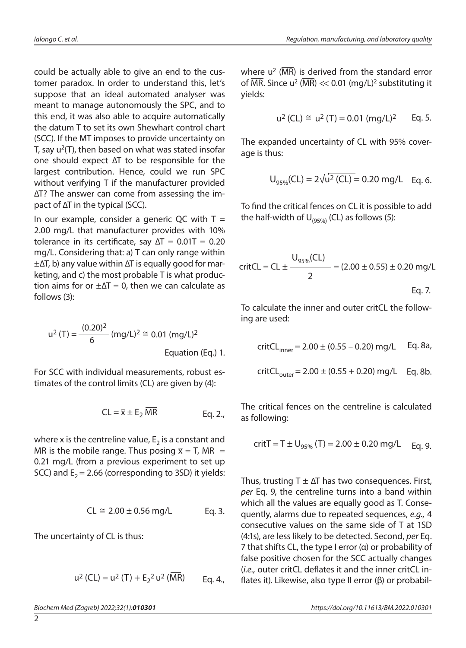could be actually able to give an end to the customer paradox. In order to understand this, let's suppose that an ideal automated analyser was meant to manage autonomously the SPC, and to this end, it was also able to acquire automatically the datum T to set its own Shewhart control chart (SCC). If the MT imposes to provide uncertainty on T, say  $u^2(T)$ , then based on what was stated insofar one should expect ∆T to be responsible for the largest contribution. Hence, could we run SPC without verifying T if the manufacturer provided ∆T? The answer can come from assessing the impact of ∆T in the typical (SCC).

In our example, consider a generic QC with  $T =$ 2.00 mg/L that manufacturer provides with 10% tolerance in its certificate, say  $\Delta T = 0.01T = 0.20$ mg/L. Considering that: a) T can only range within ±∆T, b) any value within ∆T is equally good for marketing, and c) the most probable T is what production aims for or  $\pm \Delta T = 0$ , then we can calculate as follows (3):

$$
u^{2}(T) = \frac{(0.20)^{2}}{6} (mg/L)^{2} \approx 0.01 (mg/L)^{2}
$$
  
Equation (Eq.) 1.

For SCC with individual measurements, robust estimates of the control limits (CL) are given by (4):

$$
CL = \overline{x} \pm E_2 \overline{MR}
$$
 Eq. 2.,

where  $\bar{x}$  is the centreline value,  $E_2$  is a constant and  $\overline{\text{MR}}$  is the mobile range. Thus posing  $\overline{x} = T$ ,  $\overline{\text{MR}} =$ 0.21 mg/L (from a previous experiment to set up SCC) and  $E_2$  = 2.66 (corresponding to 3SD) it yields:

$$
CL \cong 2.00 \pm 0.56
$$
 mg/L Eq. 3.

The uncertainty of CL is thus:

$$
u^{2}(CL) = u^{2}(T) + E_{2}^{2}u^{2}(\overline{MR})
$$
 Eq. 4.,

 $\overline{2}$ 

where  $u^2$  ( $\overline{MR}$ ) is derived from the standard error of  $\overline{\text{MR}}$ . Since u<sup>2</sup> ( $\overline{\text{MR}}$ ) << 0.01 (mg/L)<sup>2</sup> substituting it yields:

$$
u^2
$$
 (CL)  $\approx$   $u^2$  (T) = 0.01 (mg/L)<sup>2</sup> Eq. 5.

The expanded uncertainty of CL with 95% coverage is thus:

$$
U_{95\%}(CL) = 2\sqrt{u^2 (CL)} = 0.20 \text{ mg/L}
$$
 Eq. 6.

To find the critical fences on CL it is possible to add the half-width of  $U_{(95\%)}$  (CL) as follows (5):

$$
critCL = CL \pm \frac{U_{95\%}(CL)}{2} = (2.00 \pm 0.55) \pm 0.20 \text{ mg/L}
$$
  
Eq. 7.

To calculate the inner and outer critCL the following are used:

$$
critCL_{inner} = 2.00 \pm (0.55 - 0.20) mg/L \qquad Eq. 8a,
$$

$$
critCL_{outer} = 2.00 \pm (0.55 + 0.20) \text{ mg/L}
$$
 Eq. 8b.

The critical fences on the centreline is calculated as following:

$$
critT = T \pm U_{95\%} (T) = 2.00 \pm 0.20 \text{ mg/L} \quad \text{Eq. 9.}
$$

Thus, trusting  $T \pm \Delta T$  has two consequences. First, *per* Eq. 9, the centreline turns into a band within which all the values are equally good as T. Consequently, alarms due to repeated sequences, *e.g.,* 4 consecutive values on the same side of T at 1SD (4:1s), are less likely to be detected. Second, *per* Eq. 7 that shifts CL, the type I error (α) or probability of false positive chosen for the SCC actually changes (*i.e.,* outer critCL deflates it and the inner critCL inflates it). Likewise, also type II error (β) or probabil